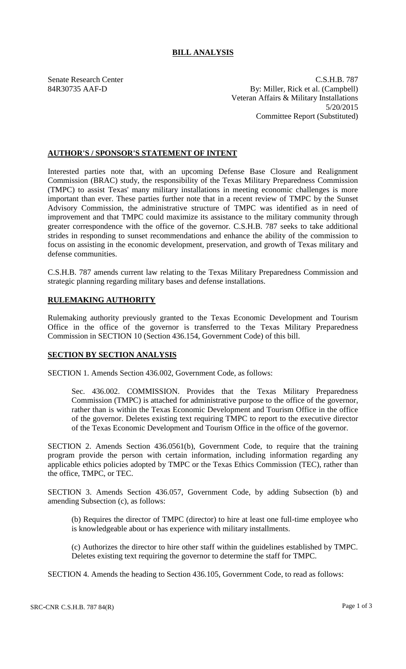## **BILL ANALYSIS**

Senate Research Center C.S.H.B. 787 84R30735 AAF-D By: Miller, Rick et al. (Campbell) Veteran Affairs & Military Installations 5/20/2015 Committee Report (Substituted)

## **AUTHOR'S / SPONSOR'S STATEMENT OF INTENT**

Interested parties note that, with an upcoming Defense Base Closure and Realignment Commission (BRAC) study, the responsibility of the Texas Military Preparedness Commission (TMPC) to assist Texas' many military installations in meeting economic challenges is more important than ever. These parties further note that in a recent review of TMPC by the Sunset Advisory Commission, the administrative structure of TMPC was identified as in need of improvement and that TMPC could maximize its assistance to the military community through greater correspondence with the office of the governor. C.S.H.B. 787 seeks to take additional strides in responding to sunset recommendations and enhance the ability of the commission to focus on assisting in the economic development, preservation, and growth of Texas military and defense communities.

C.S.H.B. 787 amends current law relating to the Texas Military Preparedness Commission and strategic planning regarding military bases and defense installations.

## **RULEMAKING AUTHORITY**

Rulemaking authority previously granted to the Texas Economic Development and Tourism Office in the office of the governor is transferred to the Texas Military Preparedness Commission in SECTION 10 (Section 436.154, Government Code) of this bill.

## **SECTION BY SECTION ANALYSIS**

SECTION 1. Amends Section 436.002, Government Code, as follows:

Sec. 436.002. COMMISSION. Provides that the Texas Military Preparedness Commission (TMPC) is attached for administrative purpose to the office of the governor, rather than is within the Texas Economic Development and Tourism Office in the office of the governor. Deletes existing text requiring TMPC to report to the executive director of the Texas Economic Development and Tourism Office in the office of the governor.

SECTION 2. Amends Section 436.0561(b), Government Code, to require that the training program provide the person with certain information, including information regarding any applicable ethics policies adopted by TMPC or the Texas Ethics Commission (TEC), rather than the office, TMPC, or TEC.

SECTION 3. Amends Section 436.057, Government Code, by adding Subsection (b) and amending Subsection (c), as follows:

(b) Requires the director of TMPC (director) to hire at least one full-time employee who is knowledgeable about or has experience with military installments.

(c) Authorizes the director to hire other staff within the guidelines established by TMPC. Deletes existing text requiring the governor to determine the staff for TMPC.

SECTION 4. Amends the heading to Section 436.105, Government Code, to read as follows: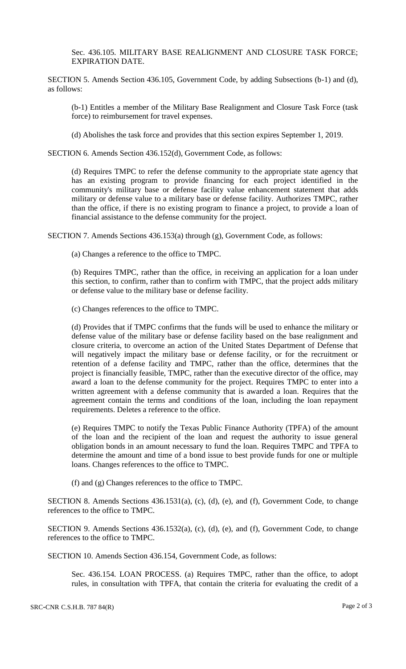Sec. 436.105. MILITARY BASE REALIGNMENT AND CLOSURE TASK FORCE; EXPIRATION DATE.

SECTION 5. Amends Section 436.105, Government Code, by adding Subsections (b-1) and (d), as follows:

(b-1) Entitles a member of the Military Base Realignment and Closure Task Force (task force) to reimbursement for travel expenses.

(d) Abolishes the task force and provides that this section expires September 1, 2019.

SECTION 6. Amends Section 436.152(d), Government Code, as follows:

(d) Requires TMPC to refer the defense community to the appropriate state agency that has an existing program to provide financing for each project identified in the community's military base or defense facility value enhancement statement that adds military or defense value to a military base or defense facility. Authorizes TMPC, rather than the office, if there is no existing program to finance a project, to provide a loan of financial assistance to the defense community for the project.

SECTION 7. Amends Sections 436.153(a) through (g), Government Code, as follows:

(a) Changes a reference to the office to TMPC.

(b) Requires TMPC, rather than the office, in receiving an application for a loan under this section, to confirm, rather than to confirm with TMPC, that the project adds military or defense value to the military base or defense facility.

(c) Changes references to the office to TMPC.

(d) Provides that if TMPC confirms that the funds will be used to enhance the military or defense value of the military base or defense facility based on the base realignment and closure criteria, to overcome an action of the United States Department of Defense that will negatively impact the military base or defense facility, or for the recruitment or retention of a defense facility and TMPC, rather than the office, determines that the project is financially feasible, TMPC, rather than the executive director of the office, may award a loan to the defense community for the project. Requires TMPC to enter into a written agreement with a defense community that is awarded a loan. Requires that the agreement contain the terms and conditions of the loan, including the loan repayment requirements. Deletes a reference to the office.

(e) Requires TMPC to notify the Texas Public Finance Authority (TPFA) of the amount of the loan and the recipient of the loan and request the authority to issue general obligation bonds in an amount necessary to fund the loan. Requires TMPC and TPFA to determine the amount and time of a bond issue to best provide funds for one or multiple loans. Changes references to the office to TMPC.

(f) and (g) Changes references to the office to TMPC.

SECTION 8. Amends Sections 436.1531(a), (c), (d), (e), and (f), Government Code, to change references to the office to TMPC.

SECTION 9. Amends Sections 436.1532(a), (c), (d), (e), and (f), Government Code, to change references to the office to TMPC.

SECTION 10. Amends Section 436.154, Government Code, as follows:

Sec. 436.154. LOAN PROCESS. (a) Requires TMPC, rather than the office, to adopt rules, in consultation with TPFA, that contain the criteria for evaluating the credit of a